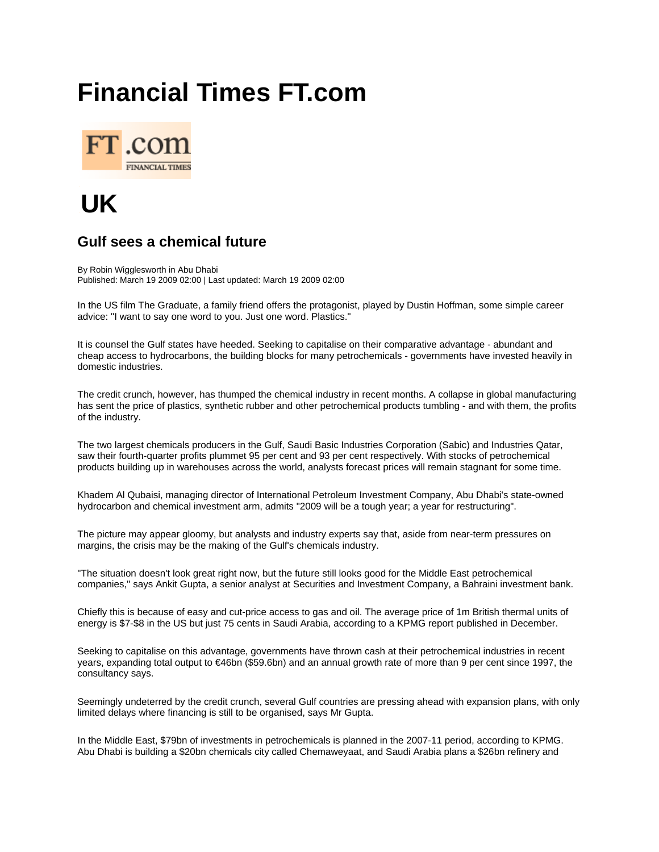## **Financial Times FT.com**



## **UK**

## **Gulf sees a chemical future**

By Robin Wigglesworth in Abu Dhabi Published: March 19 2009 02:00 | Last updated: March 19 2009 02:00

In the US film The Graduate, a family friend offers the protagonist, played by Dustin Hoffman, some simple career advice: "I want to say one word to you. Just one word. Plastics."

It is counsel the Gulf states have heeded. Seeking to capitalise on their comparative advantage - abundant and cheap access to hydrocarbons, the building blocks for many petrochemicals - governments have invested heavily in domestic industries.

The credit crunch, however, has thumped the chemical industry in recent months. A collapse in global manufacturing has sent the price of plastics, synthetic rubber and other petrochemical products tumbling - and with them, the profits of the industry.

The two largest chemicals producers in the Gulf, Saudi Basic Industries Corporation (Sabic) and Industries Qatar, saw their fourth-quarter profits plummet 95 per cent and 93 per cent respectively. With stocks of petrochemical products building up in warehouses across the world, analysts forecast prices will remain stagnant for some time.

Khadem Al Qubaisi, managing director of International Petroleum Investment Company, Abu Dhabi's state-owned hydrocarbon and chemical investment arm, admits "2009 will be a tough year; a year for restructuring".

The picture may appear gloomy, but analysts and industry experts say that, aside from near-term pressures on margins, the crisis may be the making of the Gulf's chemicals industry.

"The situation doesn't look great right now, but the future still looks good for the Middle East petrochemical companies," says Ankit Gupta, a senior analyst at Securities and Investment Company, a Bahraini investment bank.

Chiefly this is because of easy and cut-price access to gas and oil. The average price of 1m British thermal units of energy is \$7-\$8 in the US but just 75 cents in Saudi Arabia, according to a KPMG report published in December.

Seeking to capitalise on this advantage, governments have thrown cash at their petrochemical industries in recent years, expanding total output to €46bn (\$59.6bn) and an annual growth rate of more than 9 per cent since 1997, the consultancy says.

Seemingly undeterred by the credit crunch, several Gulf countries are pressing ahead with expansion plans, with only limited delays where financing is still to be organised, says Mr Gupta.

In the Middle East, \$79bn of investments in petrochemicals is planned in the 2007-11 period, according to KPMG. Abu Dhabi is building a \$20bn chemicals city called Chemaweyaat, and Saudi Arabia plans a \$26bn refinery and